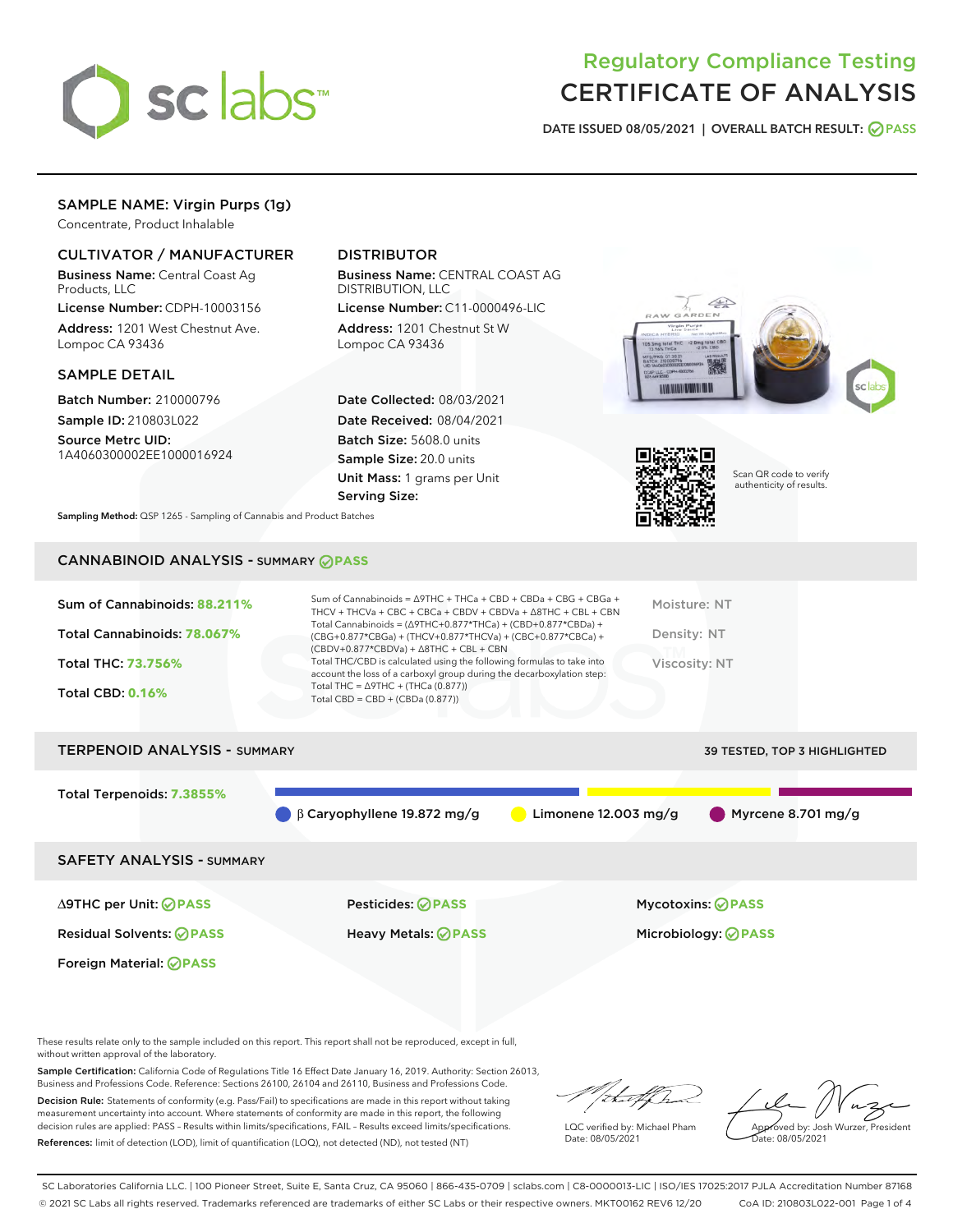

# Regulatory Compliance Testing CERTIFICATE OF ANALYSIS

DATE ISSUED 08/05/2021 | OVERALL BATCH RESULT: @ PASS

# SAMPLE NAME: Virgin Purps (1g)

Concentrate, Product Inhalable

# CULTIVATOR / MANUFACTURER

Business Name: Central Coast Ag Products, LLC

License Number: CDPH-10003156 Address: 1201 West Chestnut Ave. Lompoc CA 93436

#### SAMPLE DETAIL

Batch Number: 210000796 Sample ID: 210803L022

Source Metrc UID: 1A4060300002EE1000016924

# DISTRIBUTOR

Business Name: CENTRAL COAST AG DISTRIBUTION, LLC License Number: C11-0000496-LIC

Address: 1201 Chestnut St W Lompoc CA 93436

Date Collected: 08/03/2021 Date Received: 08/04/2021 Batch Size: 5608.0 units Sample Size: 20.0 units Unit Mass: 1 grams per Unit Serving Size:





Scan QR code to verify authenticity of results.

Sampling Method: QSP 1265 - Sampling of Cannabis and Product Batches

# CANNABINOID ANALYSIS - SUMMARY **PASS**

| Sum of Cannabinoids: 88.211%<br>Total Cannabinoids: 78.067%<br>Total THC: 73.756%<br><b>Total CBD: 0.16%</b> | Sum of Cannabinoids = $\triangle$ 9THC + THCa + CBD + CBDa + CBG + CBGa +<br>THCV + THCVa + CBC + CBCa + CBDV + CBDVa + $\land$ 8THC + CBL + CBN<br>Total Cannabinoids = $(\Delta$ 9THC+0.877*THCa) + $(CBD+0.877*CBDa) +$<br>$(CBG+0.877*CBGa) + (THCV+0.877*THCVa) + (CBC+0.877*CBCa) +$<br>$(CBDV+0.877*CBDVa) + \Delta 8THC + CBL + CBN$<br>Total THC/CBD is calculated using the following formulas to take into<br>account the loss of a carboxyl group during the decarboxylation step:<br>Total THC = $\triangle$ 9THC + (THCa (0.877))<br>Total CBD = $CBD + (CBDa (0.877))$ | Moisture: NT<br>Density: NT<br>Viscosity: NT |
|--------------------------------------------------------------------------------------------------------------|---------------------------------------------------------------------------------------------------------------------------------------------------------------------------------------------------------------------------------------------------------------------------------------------------------------------------------------------------------------------------------------------------------------------------------------------------------------------------------------------------------------------------------------------------------------------------------------|----------------------------------------------|
| <b>TERPENOID ANALYSIS - SUMMARY</b>                                                                          |                                                                                                                                                                                                                                                                                                                                                                                                                                                                                                                                                                                       | 39 TESTED, TOP 3 HIGHLIGHTED                 |

Total Terpenoids: **7.3855%**

β Caryophyllene 19.872 mg/g Limonene 12.003 mg/g Myrcene 8.701 mg/g

SAFETY ANALYSIS - SUMMARY

∆9THC per Unit: **PASS** Pesticides: **PASS** Mycotoxins: **PASS**

Foreign Material: **PASS**

Residual Solvents: **PASS** Heavy Metals: **PASS** Microbiology: **PASS**

These results relate only to the sample included on this report. This report shall not be reproduced, except in full, without written approval of the laboratory.

Sample Certification: California Code of Regulations Title 16 Effect Date January 16, 2019. Authority: Section 26013, Business and Professions Code. Reference: Sections 26100, 26104 and 26110, Business and Professions Code.

Decision Rule: Statements of conformity (e.g. Pass/Fail) to specifications are made in this report without taking measurement uncertainty into account. Where statements of conformity are made in this report, the following decision rules are applied: PASS – Results within limits/specifications, FAIL – Results exceed limits/specifications. References: limit of detection (LOD), limit of quantification (LOQ), not detected (ND), not tested (NT)

LQC verified by: Michael Pham Date: 08/05/2021

Approved by: Josh Wurzer, President ate: 08/05/2021

SC Laboratories California LLC. | 100 Pioneer Street, Suite E, Santa Cruz, CA 95060 | 866-435-0709 | sclabs.com | C8-0000013-LIC | ISO/IES 17025:2017 PJLA Accreditation Number 87168 © 2021 SC Labs all rights reserved. Trademarks referenced are trademarks of either SC Labs or their respective owners. MKT00162 REV6 12/20 CoA ID: 210803L022-001 Page 1 of 4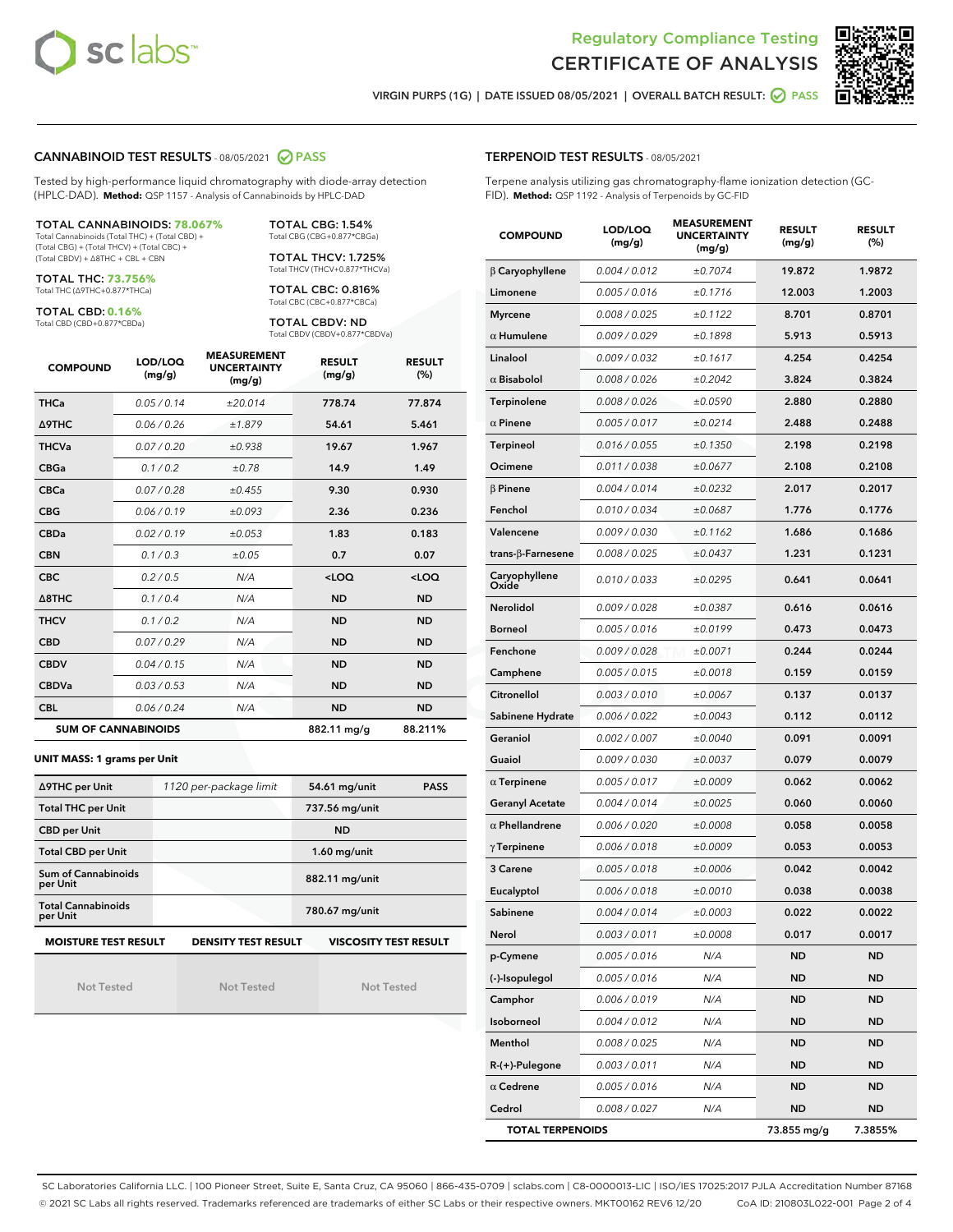



VIRGIN PURPS (1G) | DATE ISSUED 08/05/2021 | OVERALL BATCH RESULT: ◯ PASS

#### CANNABINOID TEST RESULTS - 08/05/2021 2 PASS

Tested by high-performance liquid chromatography with diode-array detection (HPLC-DAD). **Method:** QSP 1157 - Analysis of Cannabinoids by HPLC-DAD

#### TOTAL CANNABINOIDS: **78.067%**

Total Cannabinoids (Total THC) + (Total CBD) + (Total CBG) + (Total THCV) + (Total CBC) + (Total CBDV) + ∆8THC + CBL + CBN

TOTAL THC: **73.756%** Total THC (∆9THC+0.877\*THCa)

TOTAL CBD: **0.16%**

Total CBD (CBD+0.877\*CBDa)

TOTAL CBG: 1.54% Total CBG (CBG+0.877\*CBGa)

TOTAL THCV: 1.725% Total THCV (THCV+0.877\*THCVa)

TOTAL CBC: 0.816% Total CBC (CBC+0.877\*CBCa)

TOTAL CBDV: ND Total CBDV (CBDV+0.877\*CBDVa)

| <b>COMPOUND</b>  | LOD/LOQ<br>(mg/g)          | <b>MEASUREMENT</b><br><b>UNCERTAINTY</b><br>(mg/g) | <b>RESULT</b><br>(mg/g) | <b>RESULT</b><br>(%) |
|------------------|----------------------------|----------------------------------------------------|-------------------------|----------------------|
| <b>THCa</b>      | 0.05/0.14                  | ±20.014                                            | 778.74                  | 77.874               |
| <b>A9THC</b>     | 0.06 / 0.26                | ±1.879                                             | 54.61                   | 5.461                |
| <b>THCVa</b>     | 0.07/0.20                  | ±0.938                                             | 19.67                   | 1.967                |
| <b>CBGa</b>      | 0.1/0.2                    | ±0.78                                              | 14.9                    | 1.49                 |
| <b>CBCa</b>      | 0.07/0.28                  | ±0.455                                             | 9.30                    | 0.930                |
| <b>CBG</b>       | 0.06/0.19                  | ±0.093                                             | 2.36                    | 0.236                |
| <b>CBDa</b>      | 0.02/0.19                  | ±0.053                                             | 1.83                    | 0.183                |
| <b>CBN</b>       | 0.1/0.3                    | ±0.05                                              | 0.7                     | 0.07                 |
| <b>CBC</b>       | 0.2 / 0.5                  | N/A                                                | $<$ LOQ                 | $<$ LOQ              |
| $\triangle$ 8THC | 0.1/0.4                    | N/A                                                | <b>ND</b>               | <b>ND</b>            |
| <b>THCV</b>      | 0.1/0.2                    | N/A                                                | <b>ND</b>               | <b>ND</b>            |
| <b>CBD</b>       | 0.07/0.29                  | N/A                                                | <b>ND</b>               | <b>ND</b>            |
| <b>CBDV</b>      | 0.04/0.15                  | N/A                                                | <b>ND</b>               | <b>ND</b>            |
| <b>CBDVa</b>     | 0.03/0.53                  | N/A                                                | <b>ND</b>               | <b>ND</b>            |
| <b>CBL</b>       | 0.06 / 0.24                | N/A                                                | <b>ND</b>               | <b>ND</b>            |
|                  | <b>SUM OF CANNABINOIDS</b> |                                                    | 882.11 mg/g             | 88.211%              |

#### **UNIT MASS: 1 grams per Unit**

| ∆9THC per Unit                        | 1120 per-package limit | <b>PASS</b><br>54.61 mg/unit |
|---------------------------------------|------------------------|------------------------------|
| <b>Total THC per Unit</b>             |                        | 737.56 mg/unit               |
| <b>CBD per Unit</b>                   |                        | <b>ND</b>                    |
| <b>Total CBD per Unit</b>             |                        | $1.60$ mg/unit               |
| Sum of Cannabinoids<br>per Unit       |                        | 882.11 mg/unit               |
| <b>Total Cannabinoids</b><br>per Unit |                        | 780.67 mg/unit               |
| <b>MOISTURE TEST RESULT</b>           | DENSITY TEST RESULT    | <b>VISCOSITY TEST RESULT</b> |

Not Tested

Not Tested

Not Tested

#### TERPENOID TEST RESULTS - 08/05/2021

Terpene analysis utilizing gas chromatography-flame ionization detection (GC-FID). **Method:** QSP 1192 - Analysis of Terpenoids by GC-FID

| <b>COMPOUND</b>         | LOD/LOQ<br>(mg/g) | <b>MEASUREMENT</b><br><b>UNCERTAINTY</b><br>(mg/g) | <b>RESULT</b><br>(mg/g) | <b>RESULT</b><br>$(\%)$ |
|-------------------------|-------------------|----------------------------------------------------|-------------------------|-------------------------|
| $\beta$ Caryophyllene   | 0.004 / 0.012     | ±0.7074                                            | 19.872                  | 1.9872                  |
| Limonene                | 0.005 / 0.016     | ±0.1716                                            | 12.003                  | 1.2003                  |
| <b>Myrcene</b>          | 0.008 / 0.025     | ±0.1122                                            | 8.701                   | 0.8701                  |
| $\alpha$ Humulene       | 0.009 / 0.029     | ±0.1898                                            | 5.913                   | 0.5913                  |
| Linalool                | 0.009 / 0.032     | ±0.1617                                            | 4.254                   | 0.4254                  |
| $\alpha$ Bisabolol      | 0.008 / 0.026     | ±0.2042                                            | 3.824                   | 0.3824                  |
| <b>Terpinolene</b>      | 0.008 / 0.026     | ±0.0590                                            | 2.880                   | 0.2880                  |
| $\alpha$ Pinene         | 0.005 / 0.017     | ±0.0214                                            | 2.488                   | 0.2488                  |
| Terpineol               | 0.016 / 0.055     | ±0.1350                                            | 2.198                   | 0.2198                  |
| Ocimene                 | 0.011 / 0.038     | ±0.0677                                            | 2.108                   | 0.2108                  |
| $\beta$ Pinene          | 0.004 / 0.014     | ±0.0232                                            | 2.017                   | 0.2017                  |
| Fenchol                 | 0.010 / 0.034     | ±0.0687                                            | 1.776                   | 0.1776                  |
| Valencene               | 0.009 / 0.030     | ±0.1162                                            | 1.686                   | 0.1686                  |
| trans-β-Farnesene       | 0.008 / 0.025     | ±0.0437                                            | 1.231                   | 0.1231                  |
| Caryophyllene<br>Oxide  | 0.010 / 0.033     | ±0.0295                                            | 0.641                   | 0.0641                  |
| <b>Nerolidol</b>        | 0.009 / 0.028     | ±0.0387                                            | 0.616                   | 0.0616                  |
| <b>Borneol</b>          | 0.005 / 0.016     | ±0.0199                                            | 0.473                   | 0.0473                  |
| Fenchone                | 0.009 / 0.028     | ±0.0071                                            | 0.244                   | 0.0244                  |
| Camphene                | 0.005 / 0.015     | ±0.0018                                            | 0.159                   | 0.0159                  |
| Citronellol             | 0.003 / 0.010     | ±0.0067                                            | 0.137                   | 0.0137                  |
| Sabinene Hydrate        | 0.006 / 0.022     | ±0.0043                                            | 0.112                   | 0.0112                  |
| Geraniol                | 0.002 / 0.007     | ±0.0040                                            | 0.091                   | 0.0091                  |
| Guaiol                  | 0.009 / 0.030     | ±0.0037                                            | 0.079                   | 0.0079                  |
| $\alpha$ Terpinene      | 0.005 / 0.017     | ±0.0009                                            | 0.062                   | 0.0062                  |
| Geranyl Acetate         | 0.004 / 0.014     | ±0.0025                                            | 0.060                   | 0.0060                  |
| $\alpha$ Phellandrene   | 0.006 / 0.020     | ±0.0008                                            | 0.058                   | 0.0058                  |
| $\gamma$ Terpinene      | 0.006 / 0.018     | ±0.0009                                            | 0.053                   | 0.0053                  |
| 3 Carene                | 0.005 / 0.018     | ±0.0006                                            | 0.042                   | 0.0042                  |
| Eucalyptol              | 0.006 / 0.018     | ±0.0010                                            | 0.038                   | 0.0038                  |
| Sabinene                | 0.004 / 0.014     | ±0.0003                                            | 0.022                   | 0.0022                  |
| Nerol                   | 0.003 / 0.011     | ±0.0008                                            | 0.017                   | 0.0017                  |
| p-Cymene                | 0.005 / 0.016     | N/A                                                | ND                      | ND                      |
| (-)-Isopulegol          | 0.005 / 0.016     | N/A                                                | ND                      | <b>ND</b>               |
| Camphor                 | 0.006 / 0.019     | N/A                                                | ND                      | <b>ND</b>               |
| Isoborneol              | 0.004 / 0.012     | N/A                                                | ND                      | ND                      |
| Menthol                 | 0.008 / 0.025     | N/A                                                | ND                      | ND                      |
| R-(+)-Pulegone          | 0.003 / 0.011     | N/A                                                | <b>ND</b>               | <b>ND</b>               |
| $\alpha$ Cedrene        | 0.005 / 0.016     | N/A                                                | ND                      | ND                      |
| Cedrol                  | 0.008 / 0.027     | N/A                                                | ND                      | <b>ND</b>               |
| <b>TOTAL TERPENOIDS</b> |                   |                                                    | 73.855 mg/g             | 7.3855%                 |

SC Laboratories California LLC. | 100 Pioneer Street, Suite E, Santa Cruz, CA 95060 | 866-435-0709 | sclabs.com | C8-0000013-LIC | ISO/IES 17025:2017 PJLA Accreditation Number 87168 © 2021 SC Labs all rights reserved. Trademarks referenced are trademarks of either SC Labs or their respective owners. MKT00162 REV6 12/20 CoA ID: 210803L022-001 Page 2 of 4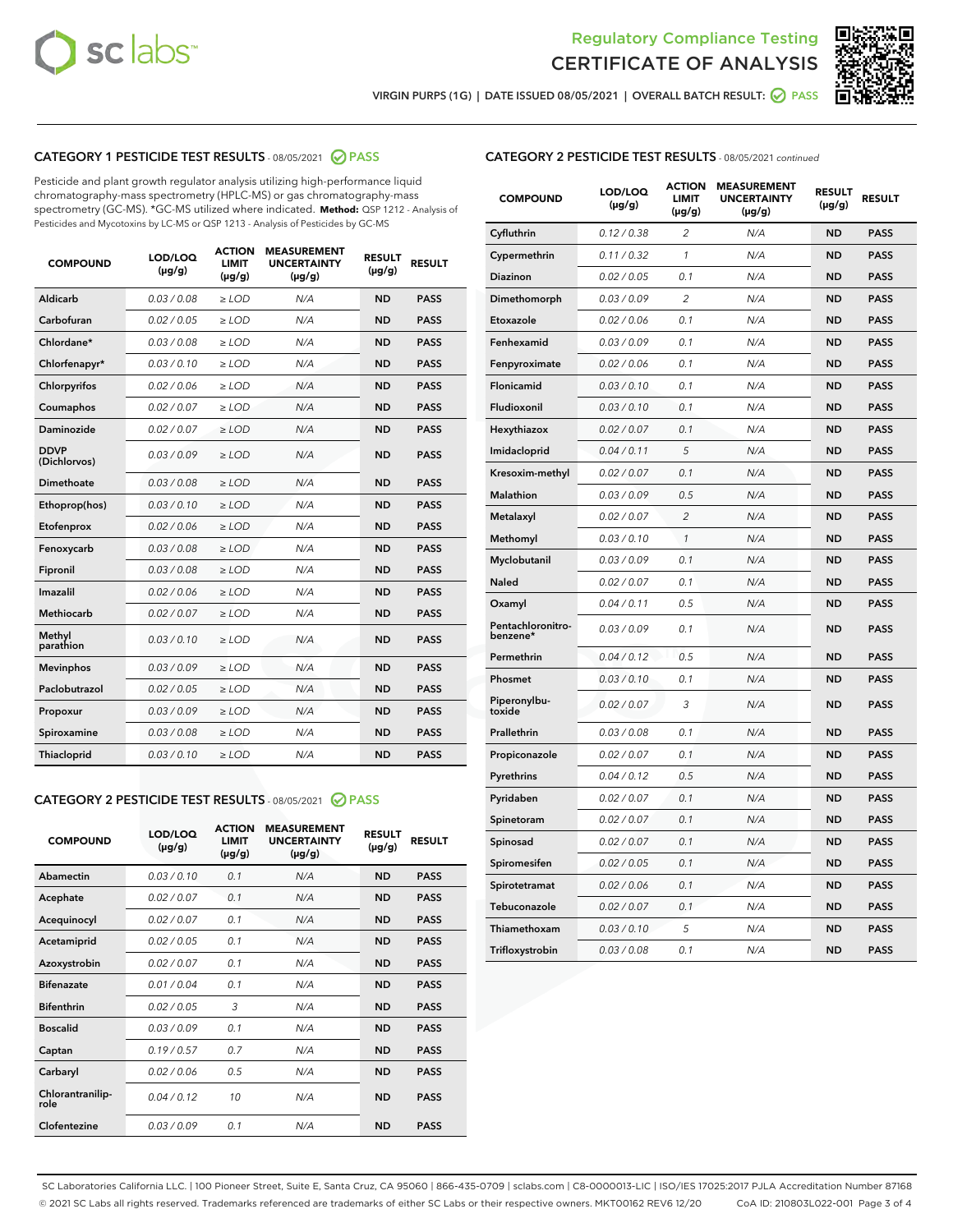



VIRGIN PURPS (1G) | DATE ISSUED 08/05/2021 | OVERALL BATCH RESULT:  $\bigcirc$  PASS

# CATEGORY 1 PESTICIDE TEST RESULTS - 08/05/2021 2 PASS

Pesticide and plant growth regulator analysis utilizing high-performance liquid chromatography-mass spectrometry (HPLC-MS) or gas chromatography-mass spectrometry (GC-MS). \*GC-MS utilized where indicated. **Method:** QSP 1212 - Analysis of Pesticides and Mycotoxins by LC-MS or QSP 1213 - Analysis of Pesticides by GC-MS

| <b>COMPOUND</b>             | LOD/LOQ<br>$(\mu g/g)$ | <b>ACTION</b><br><b>LIMIT</b><br>$(\mu g/g)$ | <b>MEASUREMENT</b><br><b>UNCERTAINTY</b><br>$(\mu g/g)$ | <b>RESULT</b><br>$(\mu g/g)$ | <b>RESULT</b> |
|-----------------------------|------------------------|----------------------------------------------|---------------------------------------------------------|------------------------------|---------------|
| Aldicarb                    | 0.03 / 0.08            | $\ge$ LOD                                    | N/A                                                     | <b>ND</b>                    | <b>PASS</b>   |
| Carbofuran                  | 0.02 / 0.05            | $\ge$ LOD                                    | N/A                                                     | <b>ND</b>                    | <b>PASS</b>   |
| Chlordane*                  | 0.03 / 0.08            | $\ge$ LOD                                    | N/A                                                     | <b>ND</b>                    | <b>PASS</b>   |
| Chlorfenapyr*               | 0.03/0.10              | $\ge$ LOD                                    | N/A                                                     | <b>ND</b>                    | <b>PASS</b>   |
| Chlorpyrifos                | 0.02 / 0.06            | $\ge$ LOD                                    | N/A                                                     | <b>ND</b>                    | <b>PASS</b>   |
| Coumaphos                   | 0.02 / 0.07            | $\ge$ LOD                                    | N/A                                                     | <b>ND</b>                    | <b>PASS</b>   |
| Daminozide                  | 0.02 / 0.07            | $\ge$ LOD                                    | N/A                                                     | <b>ND</b>                    | <b>PASS</b>   |
| <b>DDVP</b><br>(Dichlorvos) | 0.03/0.09              | $>$ LOD                                      | N/A                                                     | <b>ND</b>                    | <b>PASS</b>   |
| Dimethoate                  | 0.03/0.08              | $\ge$ LOD                                    | N/A                                                     | <b>ND</b>                    | <b>PASS</b>   |
| Ethoprop(hos)               | 0.03 / 0.10            | $>$ LOD                                      | N/A                                                     | <b>ND</b>                    | <b>PASS</b>   |
| Etofenprox                  | 0.02 / 0.06            | $\ge$ LOD                                    | N/A                                                     | <b>ND</b>                    | <b>PASS</b>   |
| Fenoxycarb                  | 0.03/0.08              | $\ge$ LOD                                    | N/A                                                     | <b>ND</b>                    | <b>PASS</b>   |
| Fipronil                    | 0.03/0.08              | $\ge$ LOD                                    | N/A                                                     | <b>ND</b>                    | <b>PASS</b>   |
| Imazalil                    | 0.02 / 0.06            | $>$ LOD                                      | N/A                                                     | <b>ND</b>                    | <b>PASS</b>   |
| <b>Methiocarb</b>           | 0.02 / 0.07            | $\ge$ LOD                                    | N/A                                                     | <b>ND</b>                    | <b>PASS</b>   |
| Methyl<br>parathion         | 0.03/0.10              | $\ge$ LOD                                    | N/A                                                     | <b>ND</b>                    | <b>PASS</b>   |
| <b>Mevinphos</b>            | 0.03/0.09              | $\ge$ LOD                                    | N/A                                                     | <b>ND</b>                    | <b>PASS</b>   |
| Paclobutrazol               | 0.02 / 0.05            | $>$ LOD                                      | N/A                                                     | <b>ND</b>                    | <b>PASS</b>   |
| Propoxur                    | 0.03/0.09              | $\ge$ LOD                                    | N/A                                                     | <b>ND</b>                    | <b>PASS</b>   |
| Spiroxamine                 | 0.03/0.08              | $\ge$ LOD                                    | N/A                                                     | <b>ND</b>                    | <b>PASS</b>   |
| Thiacloprid                 | 0.03/0.10              | $\ge$ LOD                                    | N/A                                                     | <b>ND</b>                    | <b>PASS</b>   |

#### CATEGORY 2 PESTICIDE TEST RESULTS - 08/05/2021 @ PASS

| <b>COMPOUND</b>          | LOD/LOO<br>$(\mu g/g)$ | <b>ACTION</b><br>LIMIT<br>$(\mu g/g)$ | <b>MEASUREMENT</b><br><b>UNCERTAINTY</b><br>$(\mu g/g)$ | <b>RESULT</b><br>$(\mu g/g)$ | <b>RESULT</b> |  |
|--------------------------|------------------------|---------------------------------------|---------------------------------------------------------|------------------------------|---------------|--|
| Abamectin                | 0.03/0.10              | 0.1                                   | N/A                                                     | <b>ND</b>                    | <b>PASS</b>   |  |
| Acephate                 | 0.02/0.07              | 0.1                                   | N/A                                                     | <b>ND</b>                    | <b>PASS</b>   |  |
| Acequinocyl              | 0.02/0.07              | 0.1                                   | N/A                                                     | <b>ND</b>                    | <b>PASS</b>   |  |
| Acetamiprid              | 0.02 / 0.05            | 0.1                                   | N/A                                                     | <b>ND</b>                    | <b>PASS</b>   |  |
| Azoxystrobin             | 0.02/0.07              | 0.1                                   | N/A                                                     | <b>ND</b>                    | <b>PASS</b>   |  |
| <b>Bifenazate</b>        | 0.01 / 0.04            | 0.1                                   | N/A                                                     | <b>ND</b>                    | <b>PASS</b>   |  |
| <b>Bifenthrin</b>        | 0.02/0.05              | 3                                     | N/A                                                     | <b>ND</b>                    | <b>PASS</b>   |  |
| <b>Boscalid</b>          | 0.03/0.09              | 0.1                                   | N/A                                                     | <b>ND</b>                    | <b>PASS</b>   |  |
| Captan                   | 0.19/0.57              | 0.7                                   | N/A                                                     | <b>ND</b>                    | <b>PASS</b>   |  |
| Carbaryl                 | 0.02/0.06              | 0.5                                   | N/A                                                     | <b>ND</b>                    | <b>PASS</b>   |  |
| Chlorantranilip-<br>role | 0.04/0.12              | 10                                    | N/A                                                     | <b>ND</b>                    | <b>PASS</b>   |  |
| Clofentezine             | 0.03/0.09              | 0.1                                   | N/A                                                     | <b>ND</b>                    | <b>PASS</b>   |  |

| <b>CATEGORY 2 PESTICIDE TEST RESULTS</b> - 08/05/2021 continued |
|-----------------------------------------------------------------|
|-----------------------------------------------------------------|

| <b>COMPOUND</b>               | LOD/LOQ<br>(µg/g) | <b>ACTION</b><br><b>LIMIT</b><br>$(\mu g/g)$ | <b>MEASUREMENT</b><br><b>UNCERTAINTY</b><br>$(\mu g/g)$ | <b>RESULT</b><br>(µg/g) | <b>RESULT</b> |
|-------------------------------|-------------------|----------------------------------------------|---------------------------------------------------------|-------------------------|---------------|
| Cyfluthrin                    | 0.12 / 0.38       | 2                                            | N/A                                                     | <b>ND</b>               | <b>PASS</b>   |
| Cypermethrin                  | 0.11 / 0.32       | $\mathbf{1}$                                 | N/A                                                     | <b>ND</b>               | <b>PASS</b>   |
| Diazinon                      | 0.02 / 0.05       | 0.1                                          | N/A                                                     | <b>ND</b>               | PASS          |
| Dimethomorph                  | 0.03 / 0.09       | 2                                            | N/A                                                     | <b>ND</b>               | <b>PASS</b>   |
| Etoxazole                     | 0.02 / 0.06       | 0.1                                          | N/A                                                     | ND                      | <b>PASS</b>   |
| Fenhexamid                    | 0.03 / 0.09       | 0.1                                          | N/A                                                     | ND                      | <b>PASS</b>   |
| Fenpyroximate                 | 0.02 / 0.06       | 0.1                                          | N/A                                                     | <b>ND</b>               | <b>PASS</b>   |
| <b>Flonicamid</b>             | 0.03 / 0.10       | 0.1                                          | N/A                                                     | <b>ND</b>               | <b>PASS</b>   |
| Fludioxonil                   | 0.03 / 0.10       | 0.1                                          | N/A                                                     | <b>ND</b>               | <b>PASS</b>   |
| Hexythiazox                   | 0.02 / 0.07       | 0.1                                          | N/A                                                     | ND                      | <b>PASS</b>   |
| Imidacloprid                  | 0.04 / 0.11       | 5                                            | N/A                                                     | <b>ND</b>               | <b>PASS</b>   |
| Kresoxim-methyl               | 0.02 / 0.07       | 0.1                                          | N/A                                                     | ND                      | <b>PASS</b>   |
| <b>Malathion</b>              | 0.03 / 0.09       | 0.5                                          | N/A                                                     | <b>ND</b>               | <b>PASS</b>   |
| Metalaxyl                     | 0.02 / 0.07       | $\overline{2}$                               | N/A                                                     | <b>ND</b>               | <b>PASS</b>   |
| Methomyl                      | 0.03 / 0.10       | $\mathbf{1}$                                 | N/A                                                     | <b>ND</b>               | PASS          |
| Myclobutanil                  | 0.03 / 0.09       | 0.1                                          | N/A                                                     | <b>ND</b>               | <b>PASS</b>   |
| Naled                         | 0.02 / 0.07       | 0.1                                          | N/A                                                     | ND                      | <b>PASS</b>   |
| Oxamyl                        | 0.04 / 0.11       | 0.5                                          | N/A                                                     | ND                      | <b>PASS</b>   |
| Pentachloronitro-<br>benzene* | 0.03 / 0.09       | 0.1                                          | N/A                                                     | <b>ND</b>               | <b>PASS</b>   |
| Permethrin                    | 0.04 / 0.12       | 0.5                                          | N/A                                                     | ND                      | <b>PASS</b>   |
| Phosmet                       | 0.03 / 0.10       | 0.1                                          | N/A                                                     | <b>ND</b>               | PASS          |
| Piperonylbu-<br>toxide        | 0.02 / 0.07       | 3                                            | N/A                                                     | <b>ND</b>               | <b>PASS</b>   |
| Prallethrin                   | 0.03 / 0.08       | 0.1                                          | N/A                                                     | <b>ND</b>               | <b>PASS</b>   |
| Propiconazole                 | 0.02 / 0.07       | 0.1                                          | N/A                                                     | <b>ND</b>               | <b>PASS</b>   |
| Pyrethrins                    | 0.04 / 0.12       | 0.5                                          | N/A                                                     | ND                      | <b>PASS</b>   |
| Pyridaben                     | 0.02 / 0.07       | 0.1                                          | N/A                                                     | ND                      | <b>PASS</b>   |
| Spinetoram                    | 0.02 / 0.07       | 0.1                                          | N/A                                                     | <b>ND</b>               | <b>PASS</b>   |
| Spinosad                      | 0.02 / 0.07       | 0.1                                          | N/A                                                     | ND                      | <b>PASS</b>   |
| Spiromesifen                  | 0.02 / 0.05       | 0.1                                          | N/A                                                     | ND                      | <b>PASS</b>   |
| Spirotetramat                 | 0.02 / 0.06       | 0.1                                          | N/A                                                     | <b>ND</b>               | <b>PASS</b>   |
| Tebuconazole                  | 0.02 / 0.07       | 0.1                                          | N/A                                                     | ND                      | <b>PASS</b>   |
| Thiamethoxam                  | 0.03 / 0.10       | 5                                            | N/A                                                     | <b>ND</b>               | <b>PASS</b>   |
| Trifloxystrobin               | 0.03 / 0.08       | 0.1                                          | N/A                                                     | <b>ND</b>               | <b>PASS</b>   |

SC Laboratories California LLC. | 100 Pioneer Street, Suite E, Santa Cruz, CA 95060 | 866-435-0709 | sclabs.com | C8-0000013-LIC | ISO/IES 17025:2017 PJLA Accreditation Number 87168 © 2021 SC Labs all rights reserved. Trademarks referenced are trademarks of either SC Labs or their respective owners. MKT00162 REV6 12/20 CoA ID: 210803L022-001 Page 3 of 4